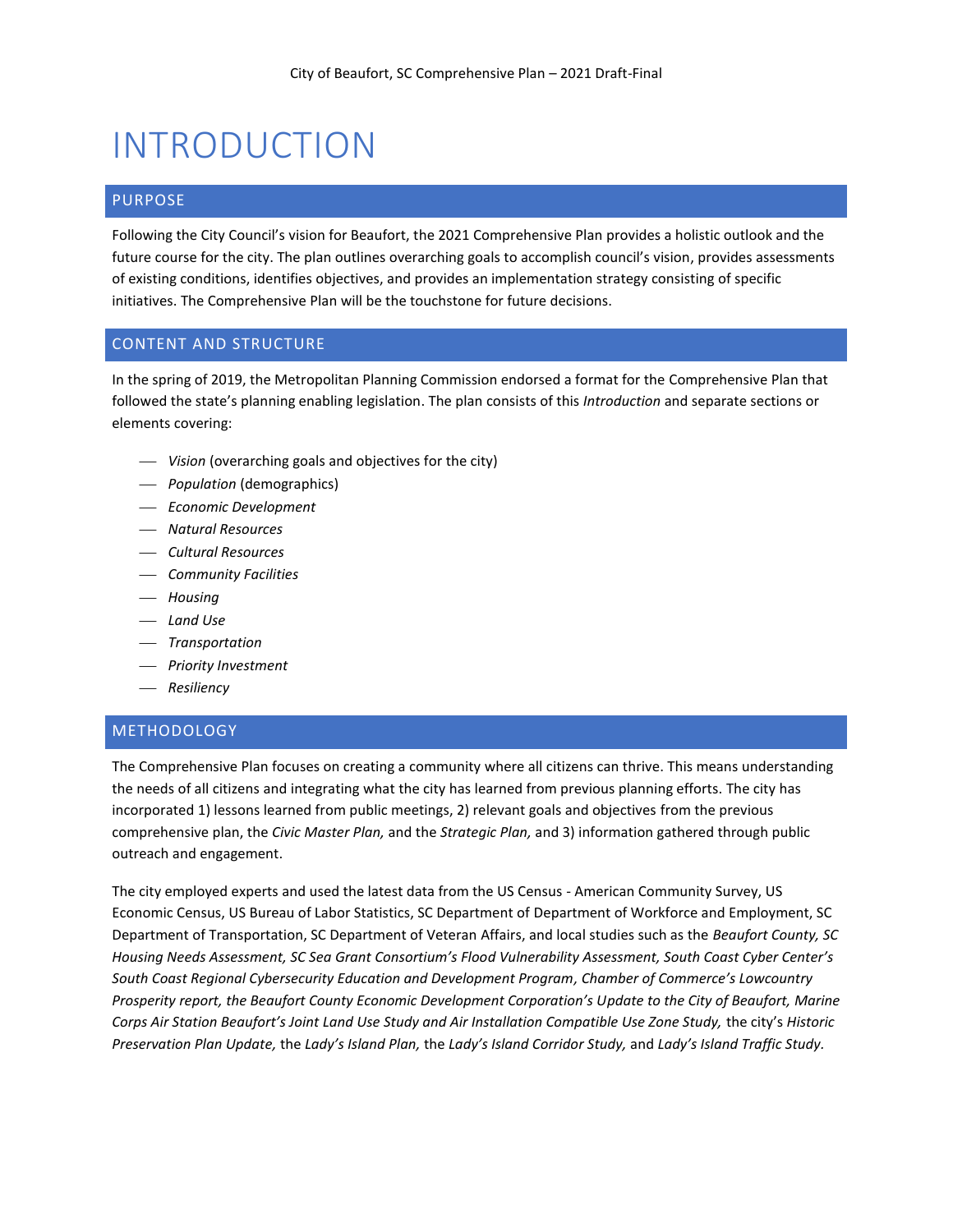# INTRODUCTION

## PURPOSE

Following the City Council's vision for Beaufort, the 2021 Comprehensive Plan provides a holistic outlook and the future course for the city. The plan outlines overarching goals to accomplish council's vision, provides assessments of existing conditions, identifies objectives, and provides an implementation strategy consisting of specific initiatives. The Comprehensive Plan will be the touchstone for future decisions.

## CONTENT AND STRUCTURE

In the spring of 2019, the Metropolitan Planning Commission endorsed a format for the Comprehensive Plan that followed the state's planning enabling legislation. The plan consists of this *Introduction* and separate sections or elements covering:

- ⎯ *Vision* (overarching goals and objectives for the city)
- ⎯ *Population* (demographics)
- ⎯ *Economic Development*
- ⎯ *Natural Resources*
- ⎯ *Cultural Resources*
- ⎯ *Community Facilities*
- ⎯ *Housing*
- ⎯ *Land Use*
- ⎯ *Transportation*
- ⎯ *Priority Investment*
- ⎯ *Resiliency*

## METHODOLOGY

The Comprehensive Plan focuses on creating a community where all citizens can thrive. This means understanding the needs of all citizens and integrating what the city has learned from previous planning efforts. The city has incorporated 1) lessons learned from public meetings, 2) relevant goals and objectives from the previous comprehensive plan, the *Civic Master Plan,* and the *Strategic Plan,* and 3) information gathered through public outreach and engagement.

The city employed experts and used the latest data from the US Census - American Community Survey, US Economic Census, US Bureau of Labor Statistics, SC Department of Department of Workforce and Employment, SC Department of Transportation, SC Department of Veteran Affairs, and local studies such as the *Beaufort County, SC Housing Needs Assessment, SC Sea Grant Consortium's Flood Vulnerability Assessment, South Coast Cyber Center's South Coast Regional Cybersecurity Education and Development Program, Chamber of Commerce's Lowcountry Prosperity report, the Beaufort County Economic Development Corporation's Update to the City of Beaufort, Marine Corps Air Station Beaufort's Joint Land Use Study and Air Installation Compatible Use Zone Study,* the city's *Historic Preservation Plan Update,* the *Lady's Island Plan,* the *Lady's Island Corridor Study,* and *Lady's Island Traffic Study.*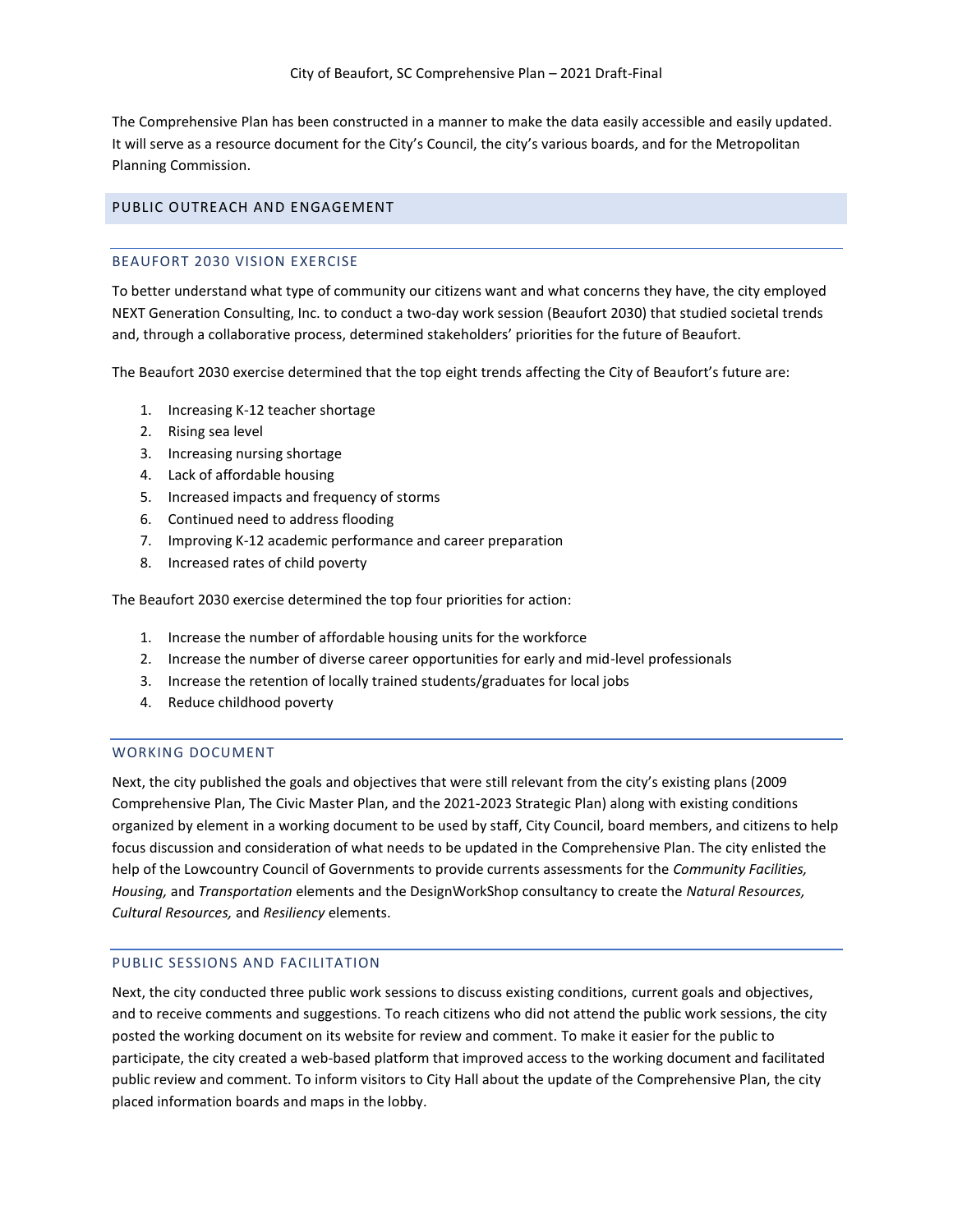The Comprehensive Plan has been constructed in a manner to make the data easily accessible and easily updated. It will serve as a resource document for the City's Council, the city's various boards, and for the Metropolitan Planning Commission.

## PUBLIC OUTREACH AND ENGAGEMENT

#### BEAUFORT 2030 VISION EXERCISE

To better understand what type of community our citizens want and what concerns they have, the city employed NEXT Generation Consulting, Inc. to conduct a two-day work session (Beaufort 2030) that studied societal trends and, through a collaborative process, determined stakeholders' priorities for the future of Beaufort.

The Beaufort 2030 exercise determined that the top eight trends affecting the City of Beaufort's future are:

- 1. Increasing K-12 teacher shortage
- 2. Rising sea level
- 3. Increasing nursing shortage
- 4. Lack of affordable housing
- 5. Increased impacts and frequency of storms
- 6. Continued need to address flooding
- 7. Improving K-12 academic performance and career preparation
- 8. Increased rates of child poverty

The Beaufort 2030 exercise determined the top four priorities for action:

- 1. Increase the number of affordable housing units for the workforce
- 2. Increase the number of diverse career opportunities for early and mid-level professionals
- 3. Increase the retention of locally trained students/graduates for local jobs
- 4. Reduce childhood poverty

### WORKING DOCUMENT

Next, the city published the goals and objectives that were still relevant from the city's existing plans (2009 Comprehensive Plan, The Civic Master Plan, and the 2021-2023 Strategic Plan) along with existing conditions organized by element in a working document to be used by staff, City Council, board members, and citizens to help focus discussion and consideration of what needs to be updated in the Comprehensive Plan. The city enlisted the help of the Lowcountry Council of Governments to provide currents assessments for the *Community Facilities, Housing,* and *Transportation* elements and the DesignWorkShop consultancy to create the *Natural Resources, Cultural Resources,* and *Resiliency* elements.

#### PUBLIC SESSIONS AND FACILITATION

Next, the city conducted three public work sessions to discuss existing conditions, current goals and objectives, and to receive comments and suggestions. To reach citizens who did not attend the public work sessions, the city posted the working document on its website for review and comment. To make it easier for the public to participate, the city created a web-based platform that improved access to the working document and facilitated public review and comment. To inform visitors to City Hall about the update of the Comprehensive Plan, the city placed information boards and maps in the lobby.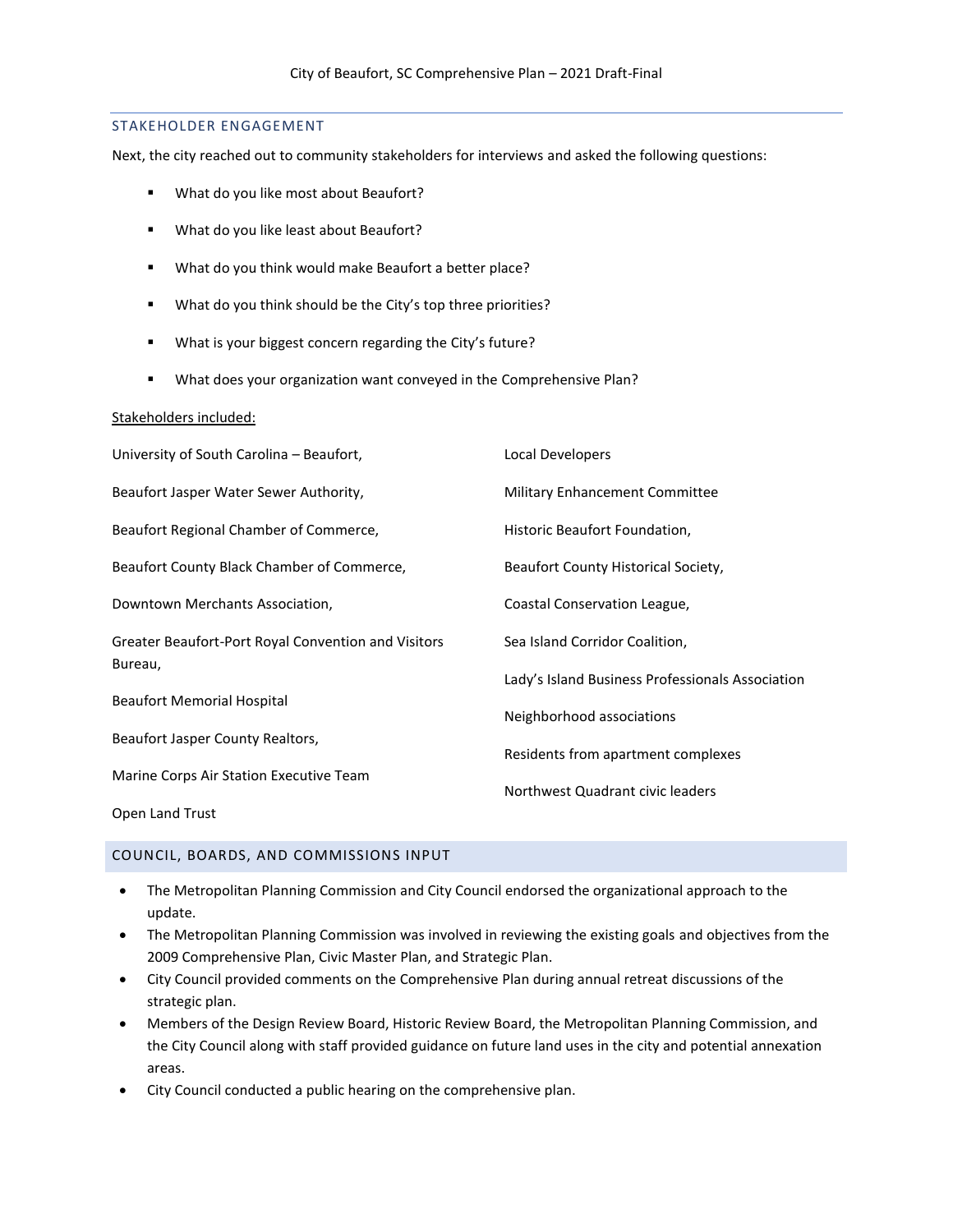#### STAKEHOLDER ENGAGEMENT

Next, the city reached out to community stakeholders for interviews and asked the following questions:

- What do you like most about Beaufort?
- What do you like least about Beaufort?
- What do you think would make Beaufort a better place?
- What do you think should be the City's top three priorities?
- What is your biggest concern regarding the City's future?
- What does your organization want conveyed in the Comprehensive Plan?

#### Stakeholders included:

| University of South Carolina - Beaufort,                       | Local Developers                                 |
|----------------------------------------------------------------|--------------------------------------------------|
| Beaufort Jasper Water Sewer Authority,                         | Military Enhancement Committee                   |
| Beaufort Regional Chamber of Commerce,                         | Historic Beaufort Foundation,                    |
| Beaufort County Black Chamber of Commerce,                     | Beaufort County Historical Society,              |
| Downtown Merchants Association,                                | Coastal Conservation League,                     |
| Greater Beaufort-Port Royal Convention and Visitors<br>Bureau, | Sea Island Corridor Coalition,                   |
|                                                                | Lady's Island Business Professionals Association |
| <b>Beaufort Memorial Hospital</b>                              | Neighborhood associations                        |
| Beaufort Jasper County Realtors,                               | Residents from apartment complexes               |
| Marine Corps Air Station Executive Team                        | Northwest Quadrant civic leaders                 |
| Open Land Trust                                                |                                                  |

#### COUNCIL, BOARDS, AND COMMISSIONS INPUT

- The Metropolitan Planning Commission and City Council endorsed the organizational approach to the update.
- The Metropolitan Planning Commission was involved in reviewing the existing goals and objectives from the 2009 Comprehensive Plan, Civic Master Plan, and Strategic Plan.
- City Council provided comments on the Comprehensive Plan during annual retreat discussions of the strategic plan.
- Members of the Design Review Board, Historic Review Board, the Metropolitan Planning Commission, and the City Council along with staff provided guidance on future land uses in the city and potential annexation areas.
- City Council conducted a public hearing on the comprehensive plan.